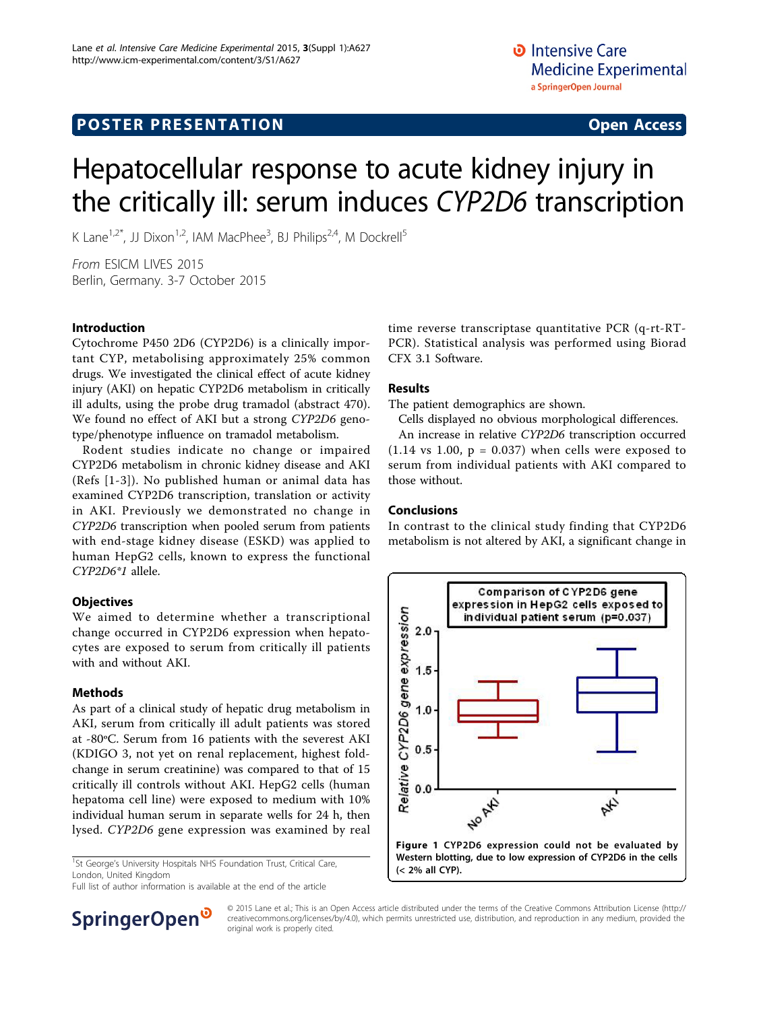## **POSTER PRESENTATION CONSUMING ACCESS**

# Hepatocellular response to acute kidney injury in the critically ill: serum induces CYP2D6 transcription

K Lane<sup>1,2\*</sup>, JJ Dixon<sup>1,2</sup>, IAM MacPhee<sup>3</sup>, BJ Philips<sup>2,4</sup>, M Dockrell<sup>5</sup>

From ESICM LIVES 2015 Berlin, Germany. 3-7 October 2015

#### Introduction

Cytochrome P450 2D6 (CYP2D6) is a clinically important CYP, metabolising approximately 25% common drugs. We investigated the clinical effect of acute kidney injury (AKI) on hepatic CYP2D6 metabolism in critically ill adults, using the probe drug tramadol (abstract 470). We found no effect of AKI but a strong CYP2D6 genotype/phenotype influence on tramadol metabolism.

Rodent studies indicate no change or impaired CYP2D6 metabolism in chronic kidney disease and AKI (Refs [\[1-3\]](#page-1-0)). No published human or animal data has examined CYP2D6 transcription, translation or activity in AKI. Previously we demonstrated no change in CYP2D6 transcription when pooled serum from patients with end-stage kidney disease (ESKD) was applied to human HepG2 cells, known to express the functional CYP2D6\*1 allele.

#### **Objectives**

We aimed to determine whether a transcriptional change occurred in CYP2D6 expression when hepatocytes are exposed to serum from critically ill patients with and without AKI.

#### Methods

As part of a clinical study of hepatic drug metabolism in AKI, serum from critically ill adult patients was stored at -80ºC. Serum from 16 patients with the severest AKI (KDIGO 3, not yet on renal replacement, highest foldchange in serum creatinine) was compared to that of 15 critically ill controls without AKI. HepG2 cells (human hepatoma cell line) were exposed to medium with 10% individual human serum in separate wells for 24 h, then lysed. CYP2D6 gene expression was examined by real

<sup>1</sup>St George's University Hospitals NHS Foundation Trust, Critical Care, London, United Kingdom

Full list of author information is available at the end of the article

time reverse transcriptase quantitative PCR (q-rt-RT-PCR). Statistical analysis was performed using Biorad CFX 3.1 Software.

#### Results

The patient demographics are shown.

Cells displayed no obvious morphological differences. An increase in relative CYP2D6 transcription occurred  $(1.14 \text{ vs } 1.00, p = 0.037)$  when cells were exposed to serum from individual patients with AKI compared to those without.

#### Conclusions

In contrast to the clinical study finding that CYP2D6 metabolism is not altered by AKI, a significant change in





© 2015 Lane et al.; This is an Open Access article distributed under the terms of the Creative Commons Attribution License [\(http://](http://creativecommons.org/licenses/by/4.0) [creativecommons.org/licenses/by/4.0](http://creativecommons.org/licenses/by/4.0)), which permits unrestricted use, distribution, and reproduction in any medium, provided the original work is properly cited.